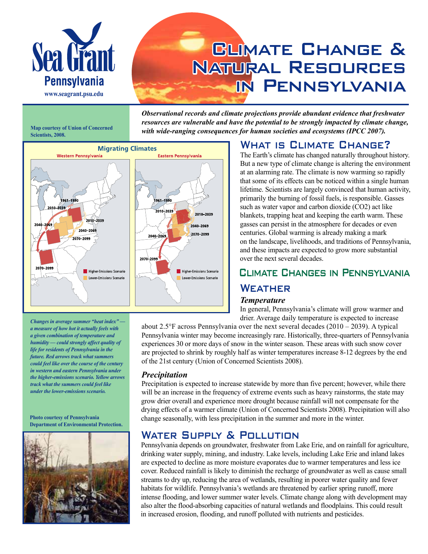

# **GLIMATE CHANGE &** Natural Resources in Pennsylvania

*Observational records and climate projections provide abundant evidence that freshwater resources are vulnerable and have the potential to be strongly impacted by climate change, with wide-ranging consequences for human societies and ecosystems (IPCC 2007).*

**Map courtesy of Union of Concerned Scientists, 2008.**



*Changes in average summer "heat index" a measure of how hot it actually feels with a given combination of temperature and humidity — could strongly affect quality of life for residents of Pennsylvania in the future. Red arrows track what summers could feel like over the course of the century in western and eastern Pennsylvania under the higher-emissions scenario. Yellow arrows track what the summers could feel like under the lower-emissions scenario.*

#### **Photo courtesy of Pennsylvania Department of Environmental Protection.**



#### WHAT IS CLIMATE CHANGE?

The Earth's climate has changed naturally throughout history. But a new type of climate change is altering the environment at an alarming rate. The climate is now warming so rapidly that some of its effects can be noticed within a single human lifetime. Scientists are largely convinced that human activity, primarily the burning of fossil fuels, is responsible. Gasses such as water vapor and carbon dioxide (CO2) act like blankets, trapping heat and keeping the earth warm. These gasses can persist in the atmosphere for decades or even centuries. Global warming is already making a mark on the landscape, livelihoods, and traditions of Pennsylvania, and these impacts are expected to grow more substantial over the next several decades.

# Climate Changes in Pennsylvania

#### **WEATHER**

#### *Temperature*

In general, Pennsylvania's climate will grow warmer and drier. Average daily temperature is expected to increase

about 2.5 $\degree$ F across Pennsylvania over the next several decades (2010 – 2039). A typical Pennsylvania winter may become increasingly rare. Historically, three-quarters of Pennsylvania experiences 30 or more days of snow in the winter season. These areas with such snow cover are projected to shrink by roughly half as winter temperatures increase 8-12 degrees by the end of the 21st century (Union of Concerned Scientists 2008).

#### *Precipitation*

Precipitation is expected to increase statewide by more than five percent; however, while there will be an increase in the frequency of extreme events such as heavy rainstorms, the state may grow drier overall and experience more drought because rainfall will not compensate for the drying effects of a warmer climate (Union of Concerned Scientists 2008). Precipitation will also change seasonally, with less precipitation in the summer and more in the winter.

## WATER SUPPLY & POLLUTION

Pennsylvania depends on groundwater, freshwater from Lake Erie, and on rainfall for agriculture, drinking water supply, mining, and industry. Lake levels, including Lake Erie and inland lakes are expected to decline as more moisture evaporates due to warmer temperatures and less ice cover. Reduced rainfall is likely to diminish the recharge of groundwater as well as cause small streams to dry up, reducing the area of wetlands, resulting in poorer water quality and fewer habitats for wildlife. Pennsylvania's wetlands are threatened by earlier spring runoff, more intense flooding, and lower summer water levels. Climate change along with development may also alter the flood-absorbing capacities of natural wetlands and floodplains. This could result in increased erosion, flooding, and runoff polluted with nutrients and pesticides.